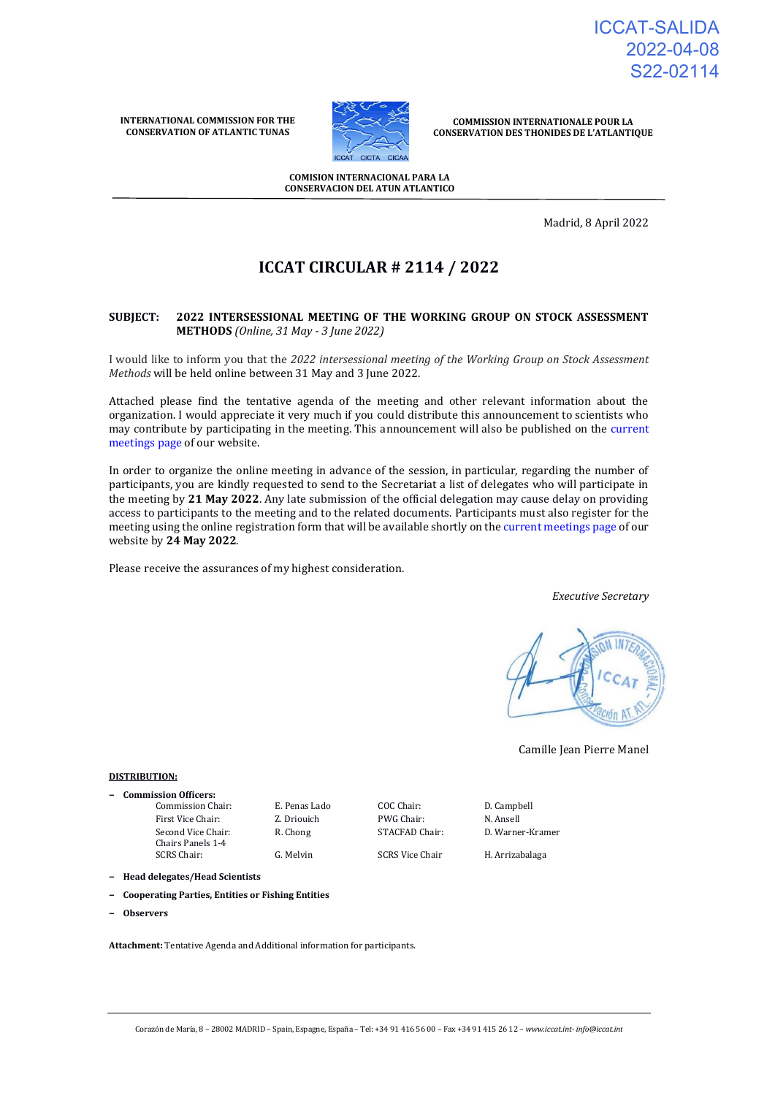ICCAT-SALIDA 2022-04-08 S22-02114

**INTERNATIONAL COMMISSION FOR THE CONSERVATION OF ATLANTIC TUNAS**



**COMMISSION INTERNATIONALE POUR LA CONSERVATION DES THONIDES DE L'ATLANTIQUE**

**COMISION INTERNACIONAL PARA LA CONSERVACION DEL ATUN ATLANTICO**

Madrid, 8 April 2022

# **ICCAT CIRCULAR # 2114 / 2022**

#### **SUBJECT: 2022 INTERSESSIONAL MEETING OF THE WORKING GROUP ON STOCK ASSESSMENT METHODS** *(Online, 31 May - 3 June 2022)*

I would like to inform you that the *2022 intersessional meeting of the Working Group on Stock Assessment Methods* will be held online between 31 May and 3 June 2022.

Attached please find the tentative agenda of the meeting and other relevant information about the organization. I would appreciate it very much if you could distribute this announcement to scientists who may contribute by participating in the meeting. This announcement will also be published on the [current](https://www.iccat.int/en/Meetings.html)  [meetings page o](https://www.iccat.int/en/Meetings.html)f our website.

In order to organize the online meeting in advance of the session, in particular, regarding the number of participants, you are kindly requested to send to the Secretariat a list of delegates who will participate in the meeting by **21 May 2022**. Any late submission of the official delegation may cause delay on providing access to participants to the meeting and to the related documents. Participants must also register for the meeting using the online registration form that will be available shortly on th[e current meetings page o](https://www.iccat.int/en/Meetings.html)f our website by **24 May 2022**.

Please receive the assurances of my highest consideration.

*Executive Secretary*



Camille Jean Pierre Manel

#### **DISTRIBUTION:**

**− Commission Officers:** Commission Chair: E. Penas Lado COC Chair: D. Campbell First Vice Chair: **Z. Driouich** PWG Chair: **N. Ansell** Second Vice Chair: Chairs Panels 1-4

G. Melvin SCRS Vice Chair H. Arrizabalaga

R. Chong STACFAD Chair: D. Warner-Kramer

**− Head delegates/Head Scientists**

- **− Cooperating Parties, Entities or Fishing Entities**
- **− Observers**

**Attachment:** Tentative Agenda and Additional information for participants.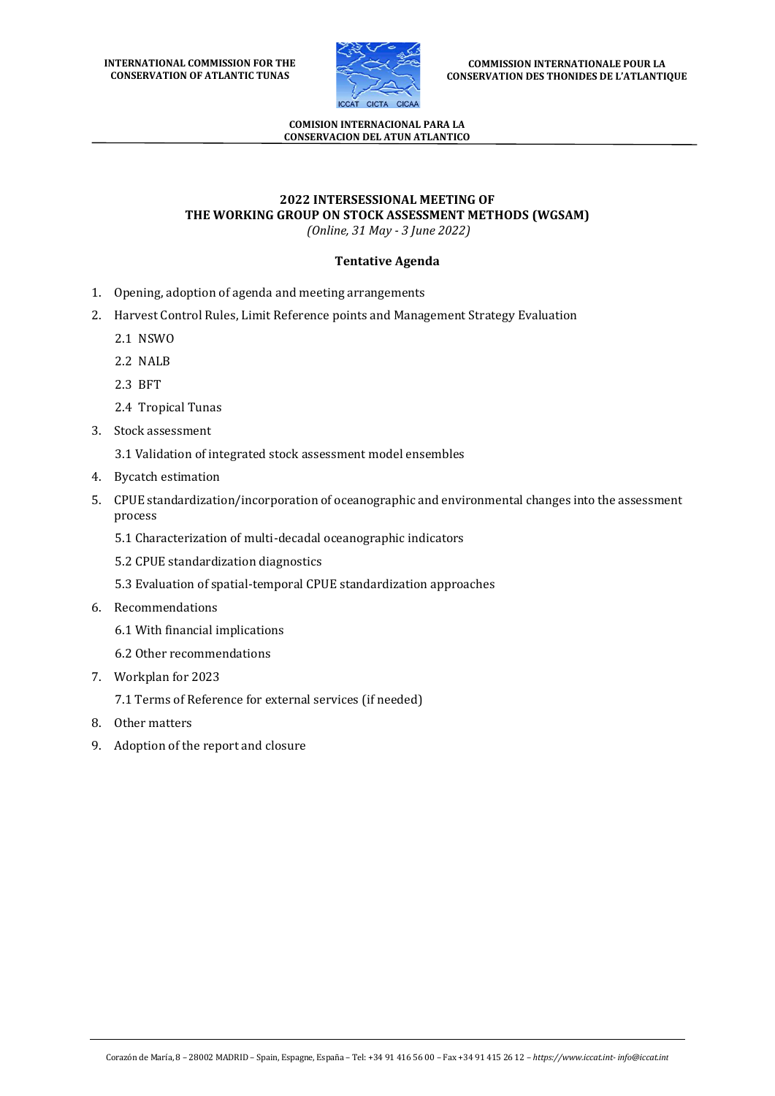

#### **COMISION INTERNACIONAL PARA LA CONSERVACION DEL ATUN ATLANTICO**

## **2022 INTERSESSIONAL MEETING OF THE WORKING GROUP ON STOCK ASSESSMENT METHODS (WGSAM)**

*(Online, 31 May - 3 June 2022)*

### **Tentative Agenda**

- 1. Opening, adoption of agenda and meeting arrangements
- 2. Harvest Control Rules, Limit Reference points and Management Strategy Evaluation
	- 2.1 NSWO
	- 2.2 NALB
	- 2.3 BFT
	- 2.4 Tropical Tunas
- 3. Stock assessment
	- 3.1 Validation of integrated stock assessment model ensembles
- 4. Bycatch estimation
- 5. CPUE standardization/incorporation of oceanographic and environmental changes into the assessment process
	- 5.1 Characterization of multi-decadal oceanographic indicators
	- 5.2 CPUE standardization diagnostics
	- 5.3 Evaluation of spatial-temporal CPUE standardization approaches
- 6. Recommendations
	- 6.1 With financial implications
	- 6.2 Other recommendations
- 7. Workplan for 2023
	- 7.1 Terms of Reference for external services (if needed)
- 8. Other matters
- 9. Adoption of the report and closure